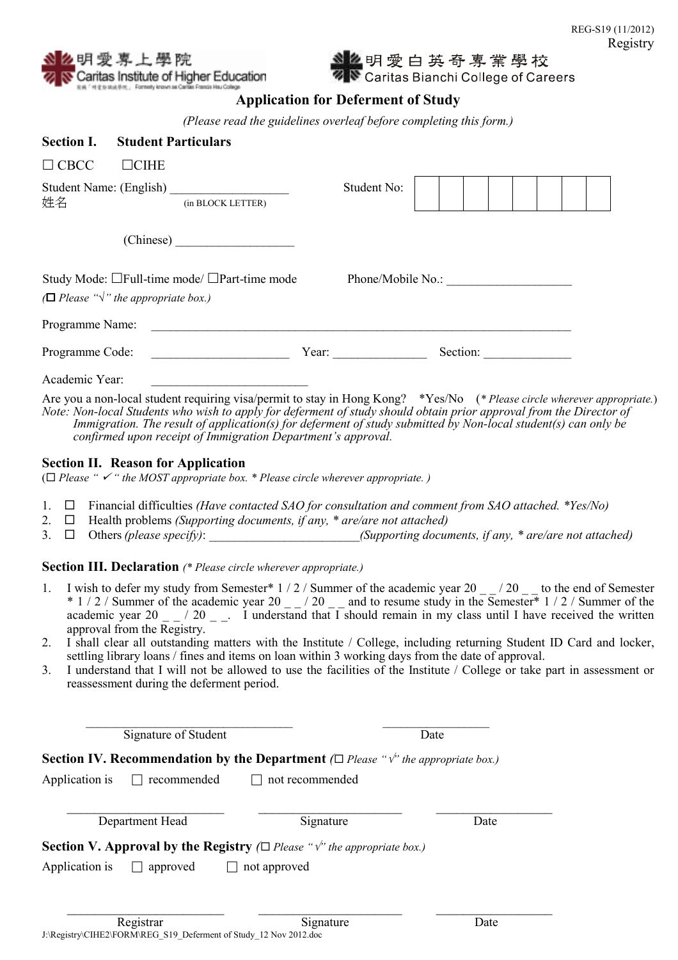

<mark>么</mark>明 愛 白 英 奇 專 業 學 校<br>N Caritas Bianchi College of Careers

## Application for Deferment of Study

(Please read the guidelines overleaf before completing this form.)

| <b>Section I.</b> | <b>Student Particulars</b>                                                                                     |                                              |                   |  |
|-------------------|----------------------------------------------------------------------------------------------------------------|----------------------------------------------|-------------------|--|
| $\Box$ CBCC       | $\Box$ CIHE                                                                                                    |                                              |                   |  |
| 姓名                | (in BLOCK LETTER)                                                                                              | Student No:                                  |                   |  |
|                   |                                                                                                                |                                              |                   |  |
|                   | Study Mode: $\Box$ Full-time mode/ $\Box$ Part-time mode<br>$\Box$ Please " $\sqrt{ }$ " the appropriate box.) |                                              | Phone/Mobile No.: |  |
|                   | Programme Name:                                                                                                |                                              |                   |  |
|                   | Programme Code:                                                                                                | Year: $\qquad \qquad \boxed{\qquad \qquad }$ | Section:          |  |
| Academic Year:    |                                                                                                                |                                              |                   |  |

Are you a non-local student requiring visa/permit to stay in Hong Kong? \*Yes/No (\* Please circle wherever appropriate.) Note: Non-local Students who wish to apply for deferment of study should obtain prior approval from the Director of Immigration. The result of application(s) for deferment of study submitted by Non-local student(s) can only be confirmed upon receipt of Immigration Department's approval.

### Section II. Reason for Application

( $\Box$  Please "  $\checkmark$  " the MOST appropriate box. \* Please circle wherever appropriate.)

- 1.  $\Box$  Financial difficulties (Have contacted SAO for consultation and comment from SAO attached. \*Yes/No)
- 2.  $\Box$  Health problems *(Supporting documents, if any, \* are/are not attached)*
- 3.  $\Box$  Others (please specify):  $\Box$  (Supporting documents, if any, \* are/are not attached)

Section III. Declaration (\* Please circle wherever appropriate.)

- 1. I wish to defer my study from Semester\*  $1/2/$  Summer of the academic year  $20 20 1$  to the end of Semester  $*$  1 / 2 / Summer of the academic year 20  $-$  / 20  $-$  and to resume study in the Semester\* 1 / 2 / Summer of the academic year  $20 - 720 - 1$  understand that I should remain in my class until I have received the written approval from the Registry.
- 2. I shall clear all outstanding matters with the Institute / College, including returning Student ID Card and locker, settling library loans / fines and items on loan within 3 working days from the date of approval.
- 3. I understand that I will not be allowed to use the facilities of the Institute / College or take part in assessment or reassessment during the deferment period.

Signature of Student Date **Section IV. Recommendation by the Department** ( $\Box$  Please " $\sqrt{ }$ " the appropriate box.) Application is  $\Box$  recommended  $\Box$  not recommended

 $\mathcal{L}_\text{max} = \frac{1}{2} \sum_{i=1}^{n} \frac{1}{2} \sum_{i=1}^{n} \frac{1}{2} \sum_{i=1}^{n} \frac{1}{2} \sum_{i=1}^{n} \frac{1}{2} \sum_{i=1}^{n} \frac{1}{2} \sum_{i=1}^{n} \frac{1}{2} \sum_{i=1}^{n} \frac{1}{2} \sum_{i=1}^{n} \frac{1}{2} \sum_{i=1}^{n} \frac{1}{2} \sum_{i=1}^{n} \frac{1}{2} \sum_{i=1}^{n} \frac{1}{2} \sum_{i=1}^{n} \frac{1$ Department Head Signature Date Section V. Approval by the Registry ( $\Box$  Please " $\psi$ " the appropriate box.) Application is  $\Box$  approved  $\Box$  not approved

 $\mathcal{L}_\text{max} = \frac{1}{2} \sum_{i=1}^{n} \frac{1}{2} \sum_{i=1}^{n} \frac{1}{2} \sum_{i=1}^{n} \frac{1}{2} \sum_{i=1}^{n} \frac{1}{2} \sum_{i=1}^{n} \frac{1}{2} \sum_{i=1}^{n} \frac{1}{2} \sum_{i=1}^{n} \frac{1}{2} \sum_{i=1}^{n} \frac{1}{2} \sum_{i=1}^{n} \frac{1}{2} \sum_{i=1}^{n} \frac{1}{2} \sum_{i=1}^{n} \frac{1}{2} \sum_{i=1}^{n} \frac{1$ 

\_\_\_\_\_\_\_\_\_\_\_\_\_\_\_\_\_\_\_\_\_\_\_\_\_\_\_\_\_\_\_\_\_ \_\_\_\_\_\_\_\_\_\_\_\_\_\_\_\_\_